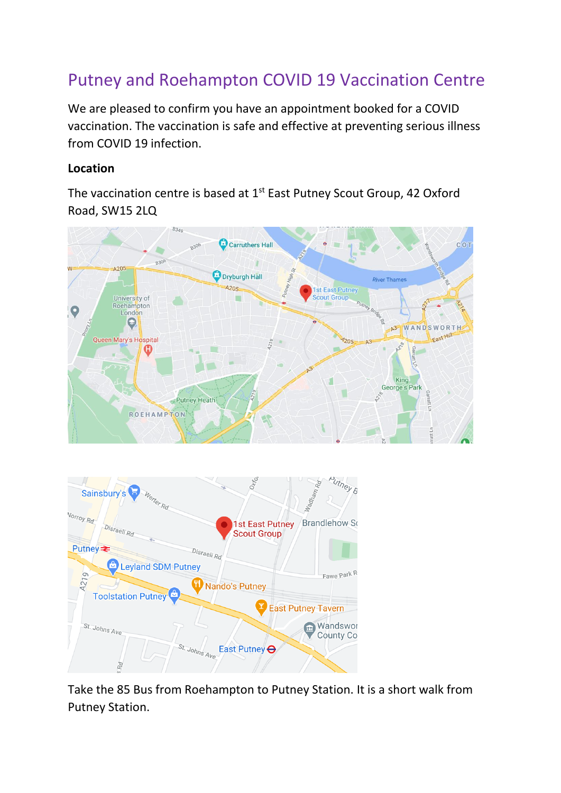## Putney and Roehampton COVID 19 Vaccination Centre

We are pleased to confirm you have an appointment booked for a COVID vaccination. The vaccination is safe and effective at preventing serious illness from COVID 19 infection.

## **Location**

The vaccination centre is based at 1<sup>st</sup> East Putney Scout Group, 42 Oxford Road, SW15 2LQ





Take the 85 Bus from Roehampton to Putney Station. It is a short walk from Putney Station.